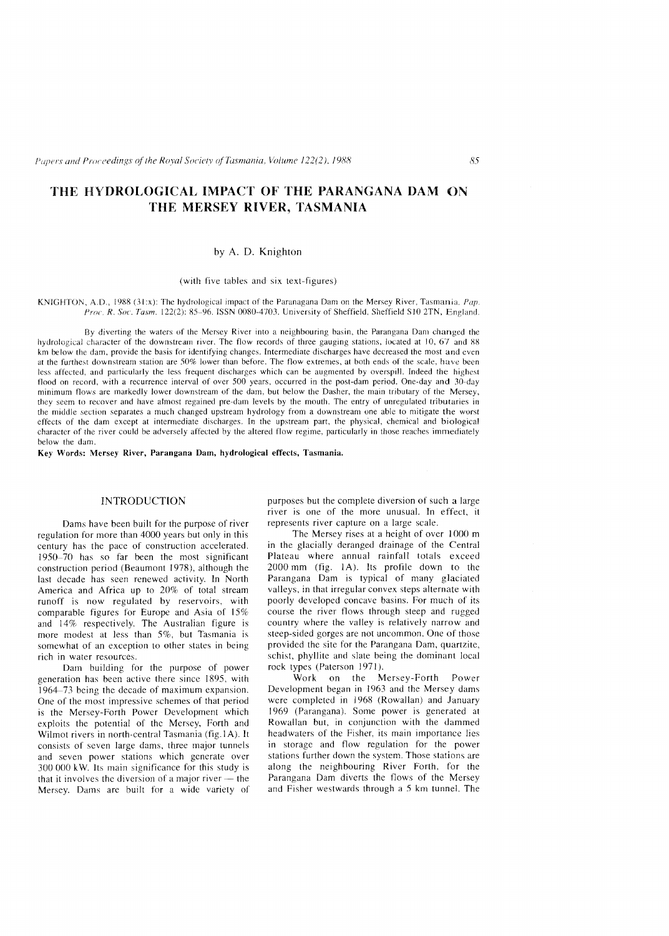# THE HYDROLOGICAL IMPACT OF THE PARANGANA DAM ON THE MERSEY RIVER, TASMANIA

### by A. D. Knighton

(with five tables and six text-figures)

KNIGHTON, A.D., 1988 (31:x): The hydrological impact of the Paranagana Dam on the Mersey River, Tasmania.  $Pap$ . *R. SOl'. Tasm.* 122(2): 85-96. ISSN OORO-4703. University of Sheffield, Sheffield SIO 2TN, England.

By diverting the waters of the Merscy River into a neighbouring basin, the Parangana Darn changed the hydrological character of the downstream river. The flow records of three gauging stations, located at  $10, 67$  and 88 km below the dam, provide the basis for identifying changes. Intermediate discharges have decreased the most and even at the furthest downstream station are 50% lower than before. The flow extremes, at both ends of the scale, have been less affected, and particularly the less frequent discharges which can be augmented by overspill. Indeed the highest flood on record, with a recurrence interval of over 500 years, occurred in the post-dam period. One-day and 30-day minimum flows are markedly lower downstream of the dam, but below the Dasher, the main tributary of the Mersey, they seem to recover and have almost regained pre-dam levels by the mouth. The entry of unregulated tributaries in the middle section separates a much changed upstream hydrology from a downstream one able to mitigate the worst effects of the dam except at intermediate discharges. In the upstream part, the physical, chemical and biological character of the river could be adversely affected by the altered flow regime, particularly in those reaches immediately below the dam.

Key Words: Mersey River, Parangana Dam, hydrological effects, Tasmania.

#### INTRODUCTION

Dams have been built for the purpose of river regulation for more than 4000 years but only in this century has the pace of construction accelerated. 1950-70 bas so far been the most significant construction period (Beaumont 1978), although the last decade has seen renewed activity. In North America and Africa up to 20% of total stream runoff is now regulated by reservoirs, with comparable figures for Europe and Asia of 15% and 14% respectively. The Australian figure is more modest at less than 5%, but Tasmania is somewhat of an exception to other states in being rich in water resources.

Dam building for the purpose of power generation has been active there since 1895, with  $1964-73$  being the decade of maximum expansion. One of the most impressive schemes of that period is the Mersey-Forth Power Development which exploits the potential of the Mersey, Forth and Wilmot rivers in north-central Tasmania (fig.1A). It consists of seven large dams, three major tunnels and seven power stations which generate over 300000 kW. Its main significance for this study is that it involves the diversion of a major river  $-$  the Mersey. Dams are built for a wide variety of purposes but the complete diversion of such a large river is one of the more unusual. In effect, it represents river capture on a large scale.

The Mersey rises at a height of over 1000 m in the glacially deranged drainage of the Central Plateau where annual rainfall totals exceed 2000 mm (fig. lA). Its profile down to the Parangana Dam is typical of many glaciated valleys, in that irregular convex steps alternate with poorly developed concave basins. For much of its course the river flows through steep and rugged country where the valley is relatively narrow and steep-sided gorges are not uncommon. One of those provided the site for the Parangana Dam, quartzite, schist, phyllite and slate being the dominant local rock types (Paterson 1971).

Work on the Mersey-Forth Power Development began in 1963 and the Mersey dams were completed in 1968 (Rowallan) and January 1969 (Parangana). Some power is generated at Rowallan but, in conjunction with the dammed headwaters of the Fisher, its main importance lies in storage and flow regulation for the power stations further down the system. Those stations are along the neighbouring River Forth, for the Parangana Dam diverts the flows of the Mersey and Fisher westwards through a 5 km tunnel. The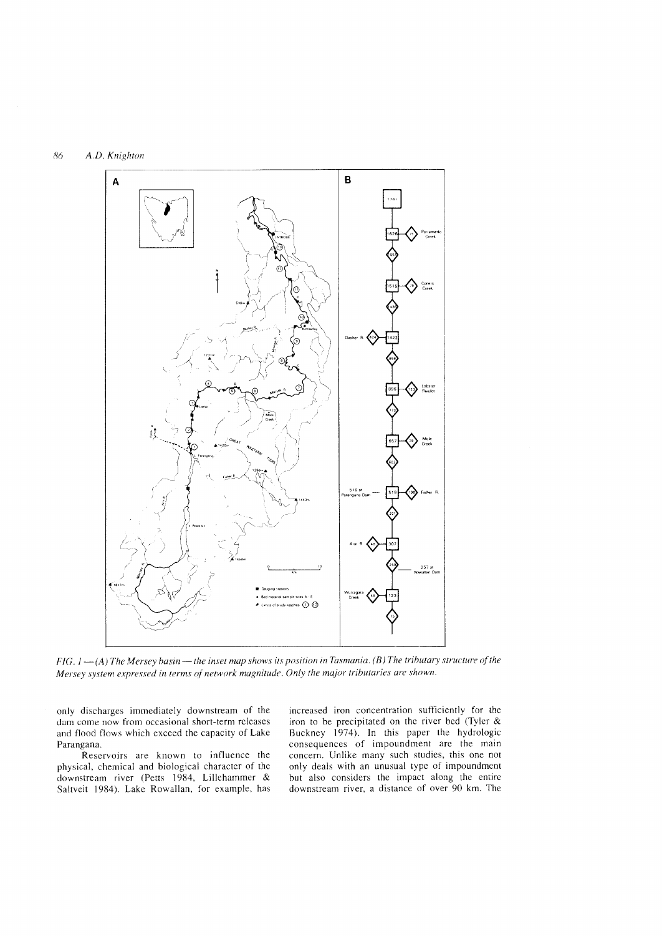

*FIG.I-(A) The Mersey basin-the inset map shows its position in Tasmania. (B) The tributary structure of the Mersey system expressed in terms of network magnitude. Only the major tributaries are shown.* 

only discharges immediately downstream of the dam come now from occasional short-term releases and flood flows which exceed the capacity of Lake Parangana.

Reservoirs are known to influence the physical, chemical and biological character of the downstream river (Petts 1984, Lillehammer & Saltveit 1984). Lake Rowallan, for example, has

increased iron concentration sufficiently for the iron to be precipitated on the river bed (Tyler & Buckney 1974). In this paper the hydrologic consequences of impoundment are the main concern. Unlike many such studies, this one not only deals with an unusual type of impoundment but also considers the impact along the entire downstream river, a distance of over 90 km. The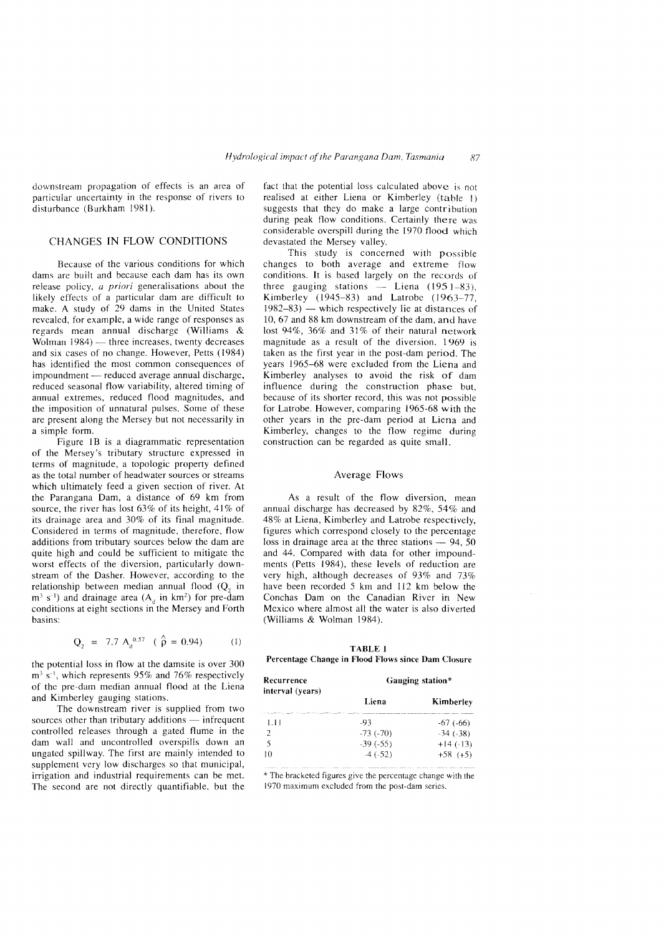downstream propagation of effects is an area of particular uncertainty in the response of rivers to disturbance (Burkham 1981).

# CHANGES [N FLOW CONDITIONS

Because of the various conditions for which dams are built and because each dam has its own release policy, a priori generalisations about the likely effects of a particular dam are ditficult to make. A study of 29 dams in the United States revealed. for example, a wide range of responses as regards mean annual discharge (Williams & Wolman  $1984$ ) - three increases, twenty decreases and six cases of no change. However, Petts (1984) has identified the most common consequences of impoundment — reduced average annual discharge, reduced seasonal flow variability, altered timing of annual extremes, reduced flood magnitudes, and the imposition of unnatural pulses. Some of these are present along the Mersey but not necessarily in a simple form.

Figure 1B is a diagrammatic representation of the Mersey's tributary structure expressed in terms of magnitude, a topologie property defined as the total number of headwater sources or streams which ultimately feed a given section of river. At the Parangana Dam, a distance of 69 km from source, the river has lost 63% of its height, 41% of its drainage area and 30% of its final magnitude. Considered in terms of magnitude, therefore, flow additions from tributary sources below the dam are quite high and could be sufficient to mitigate the worst effects of the diversion, particularly downstream of the Dasher. However, according to the relationship between median annual flood  $(Q<sub>2</sub>$  in  $m^3$  s<sup>-1</sup>) and drainage area (A<sub>d</sub> in km<sup>2</sup>) for pre-dam conditions at eight sections in the Mersey and Forth basins:

$$
Q_2 = 7.7 A_d^{0.57} \quad (\hat{\rho} = 0.94) \tag{1}
$$

the potential loss in flow at the damsite is over 300  $m<sup>3</sup>$  s<sup>-1</sup>, which represents 95% and 76% respectively of the pre-darn median annual flood at the Liena and Kimberley gauging stations.

The downstream fiver is supplied from two sources other than tributary additions  $-$  infrequent controlled releases through a gated flume in the dam wall and uncontrolled overspills down an ungated spillway. The first arc mainly intended to supplement very low discharges so that municipal, irrigation and industrial requirements can be met. The second are not directly quantifiable, but the fact that the potential loss calculated above is not realised at either Liena or Kimberley (table 1) suggests that they do make a large contribution during peak flow conditions. Certainly there was considerable overspill during the 1970 Hood which devastated the Mersey valley.

This study is concerned with possible changes to both average and extreme flow conditions. It is based largely on the records of three gauging stations  $-$  Liena (1951-83), Kimberley (1945-83) and Latrobe (1963-77,  $1982-83$ ) — which respectively lie at distances of 10,67 and 88 km downstream of the dam, and havc lost  $94\%$ ,  $36\%$  and  $31\%$  of their natural network magnitude as a result of the diversion. 1969 is taken as the first year in the post-dam period. The years 1965-68 were excluded from the Liena and Kimberley analyses to avoid the risk of dam influence during the construction phase but, because of its shorter record, this was not possible for Latrobe. However, comparing 1965-68 with the other years in the pre-dam period at Liena and Kimberley, changes to the flow regime during construction can be regarded as quite small.

#### Average Flows

As a result of the flow diversion, mean annual discharge has decreased by 82%, 54% and 48% at Liena, Kimberley and Latrobe respectively, figures which correspond closely to the percentage loss in drainage area at the three stations  $-94, 50$ and 44. Compared with data for other impoundments (Petts 1984), these levels of reduction are very high, although decreases of 93% and 73% have been recorded 5 km and 112 km below the Conchas Dam on the Canadian River in New Mexico where almost all the water is also diverted (Williams & Wolman 1984).

TABLE I Percentage Change in Flood Flows since Dam Closure

| Recurrence<br>interval (years) | Gauging station* |                 |  |
|--------------------------------|------------------|-----------------|--|
|                                | Liena            | Kimberley       |  |
| -1.11                          | -93              | $-67$ ( $-66$ ) |  |
| $\mathcal{D}$                  | $-73$ ( $-70$ )  | $-34$ ( $-38$ ) |  |
|                                | $-39(-55)$       | $+14(-13)$      |  |
| 10                             | $-4(-52)$        | $+58$ (+5)      |  |

\* The bracketed figures give the percentage change with the 1970 maximum excluded from the post· dam series.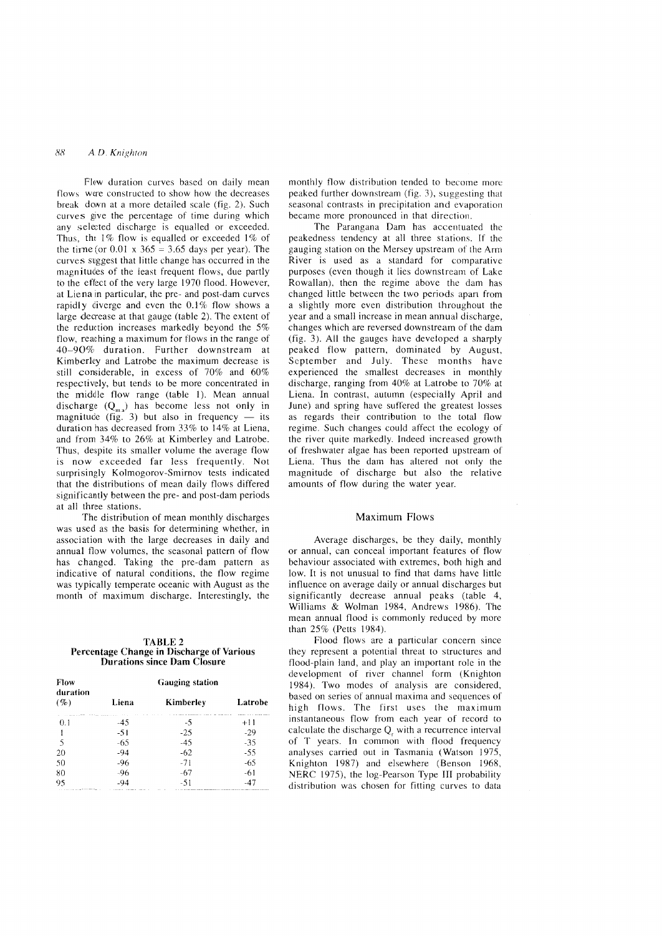#### 88 A *D. Knighton*

Flow duration curves based on daily mean flows were constructed to show how the decreases break down at a more detailed scale (fig. 2). Such curves give the percentage of time during which any selected discharge is equalled or exceeded. Thus, the  $1\%$  flow is equalled or exceeded  $1\%$  of the time (or  $0.01 \times 365 = 3.65$  days per year). The curves suggest that little change has occurred in the magnitudes of the least frequent flows, due partly to the effect of the very large 1970 flood. However, at Liena in particular, the pre- and post-dam curves rapidly diverge and even the 0.1% flow shows a large decrease at that gauge (table 2). The extent of the reduction increases markedly beyond the 5% flow, reaching a maximum for flows in the range of *40-90%* duration. Further downstream at Kimberley and Latrobe the maximum decrease is still considerable, in excess of 70% and 60% respectively, but tends to be more concentrated in the middle flow range (table 1). Mean annual discharge  $(Q_{m}$ ) has become less not only in magnitude (fig. 3) but also in frequency  $-$  its duration has decreased from 33% to 14% at Liena, and from 34% to 26% at Kimberley and Latrobe. Thus, despite its smaller volume the average flow is now exceeded far less frequently. Not surprisingly Kolmogorov-Smimov tests indicated that the distributions of mean daily flows differed significantly between the pre- and post-dam periods at all three stations.

The distribution of mean monthly discharges was used as the basis for determining whether, in association with the large decreases in daily and annual flow volumes, the seasonal pattern of flow has changed. Taking the pre-dam pattern as indicative of natural conditions, the flow regime was typically temperate oceanic with August as the month of maximum discharge. Interestingly, the

#### TABLE 2 Percentage Change **in** Discharge of Various **Durations** since **Dam** Closure

| Flow<br>duration<br>$( \% )$                       | <b>Gauging station</b>                                            |           |            |
|----------------------------------------------------|-------------------------------------------------------------------|-----------|------------|
|                                                    | Liena                                                             | Kimberley | Latrobe    |
| 0.1                                                | with the first company and a series of the contract of the<br>-45 | -5        | .<br>$+11$ |
|                                                    | $-51$                                                             | $-25$     | -29        |
| -5                                                 | -65                                                               | -45       | -35        |
| 20                                                 | -94                                                               | -62       | $-55$      |
| 50                                                 | -96                                                               | $-71$     | $-65$      |
| 80                                                 | -96                                                               | -67       | -61        |
| 95<br>and the state and companies to the state and | -94                                                               | $-51$     | -47        |

monthly flow distribution tended to become more peaked further downstream (fig. 3), suggesting that seasonal contrasts in precipitation and evaporation became more pronounced in that direction.

The Parangana Dam has accentuated the peakedness tendency at all three stations. If the gauging station on the Mersey upstream of the Arm River is used as a standard for comparative purposes (even though it lies downstream of Lake Rowallan), then the regime above the dam has changed little between the two periods apart from a slightly more even distribution throughout the year and a small increase in mean annual discharge, changes which are reversed downstream of the dam (fig. 3). All the gauges have developed a sharply peaked flow pattern, dominated by August, September and July. These months have experienced the smallest decreases in monthly discharge, ranging from 40% at Latrobe to 70% at Liena. In contrast, autumn (especially April and June) and spring have suffered the greatest losses as regards their contribution to the total flow regime. Such changes could affect the ecology of the river quite markedly. Indeed increased growth of freshwater algae has been reported upstream of Liena. Thus the dam has altered not only the magnitude of discharge but also the relative amounts of flow during the water year.

#### Maximum Flows

Average discharges, be they daily, monthly or annual, can conceal important features of flow behaviour associated with extremes, both high and low. It is not unusual to find that dams have little influence on average daily or annual discharges but significantly decrease annual peaks (table 4, Williams & Wolman 1984, Andrews 1986). The mean annual flood is commonly reduced by more than 25% (Petts 1984).

Flood flows are a particular concern since they represent a potential threat to structures and flood-plain land, and play an important role in the development of river channel form (Knighton 1984). Two modes of analysis are considered, based on series of annual maxima and sequences of high flows. The first uses the maximum instantaneous flow from each year of record to calculate the discharge  $Q_r$  with a recurrence interval of T years. In common with flood frequency analyses carried out in Tasmania (Watson 1975, Knighton 1987) and elsewhere (Benson 1968, NERC 1975), the log-Pearson Type III probability distribution was chosen for fitting curves to data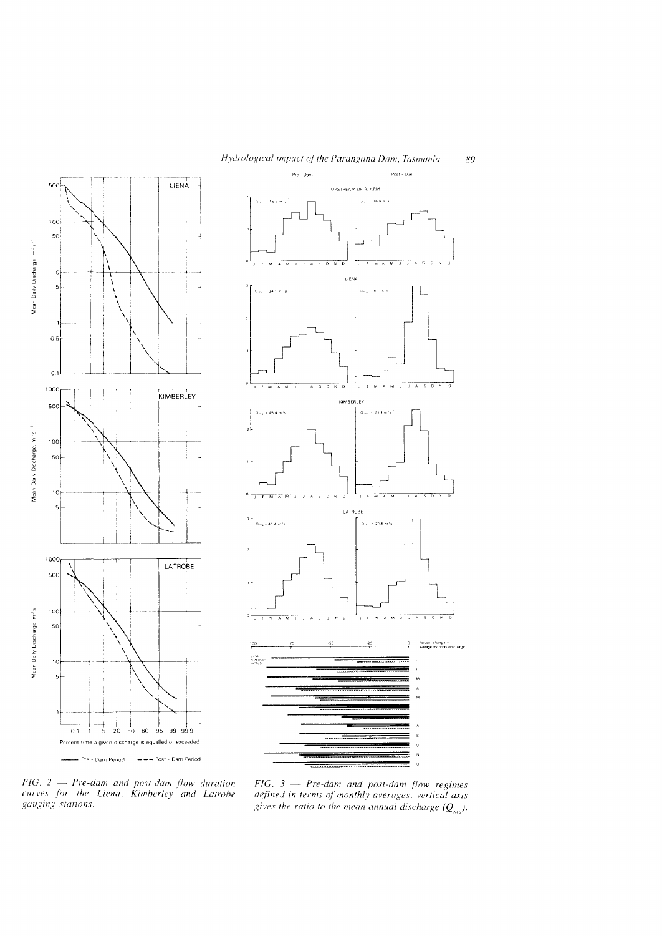



*FIG.* 2 - *Pre-dam and post-dam flow duration curves for the Liena, Kimberley and Latrobe gauging stations,* 

*FIG.* 3 - *Pre-dam and post-dam flow regimes defined in terms of monthly averages; vertical axis*  gives the ratio to the mean annual discharge  $(Q_{ma})$ .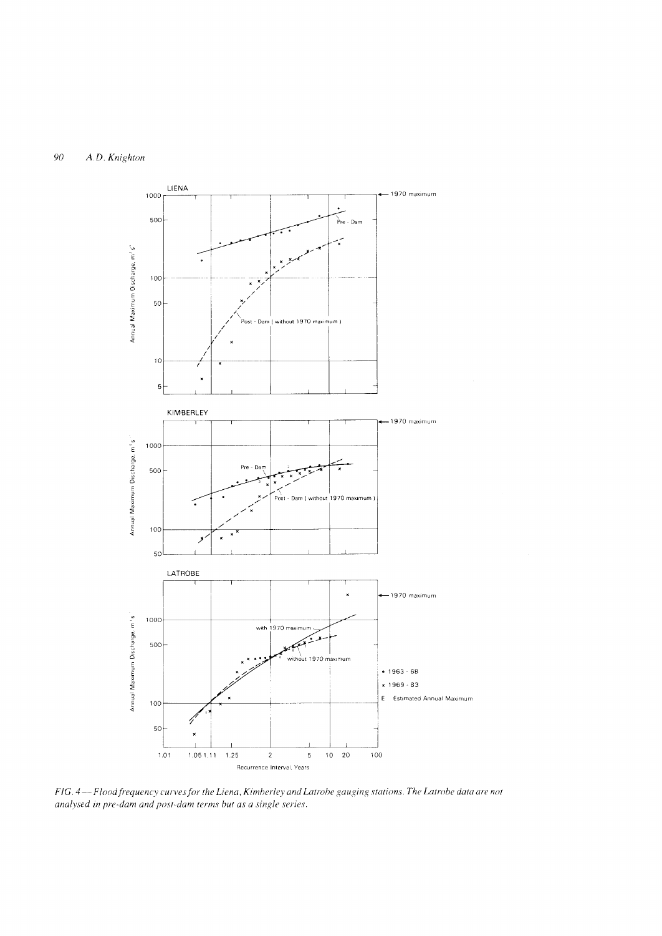# 90 A. *D. Knighton*



*FIG.* 4 --*Floodfrequency curves for the Liena, Kimberley and Latrobe gauging stations. The Latrobe data are not analysed in pre-dam and post-dam terms but as a single series.*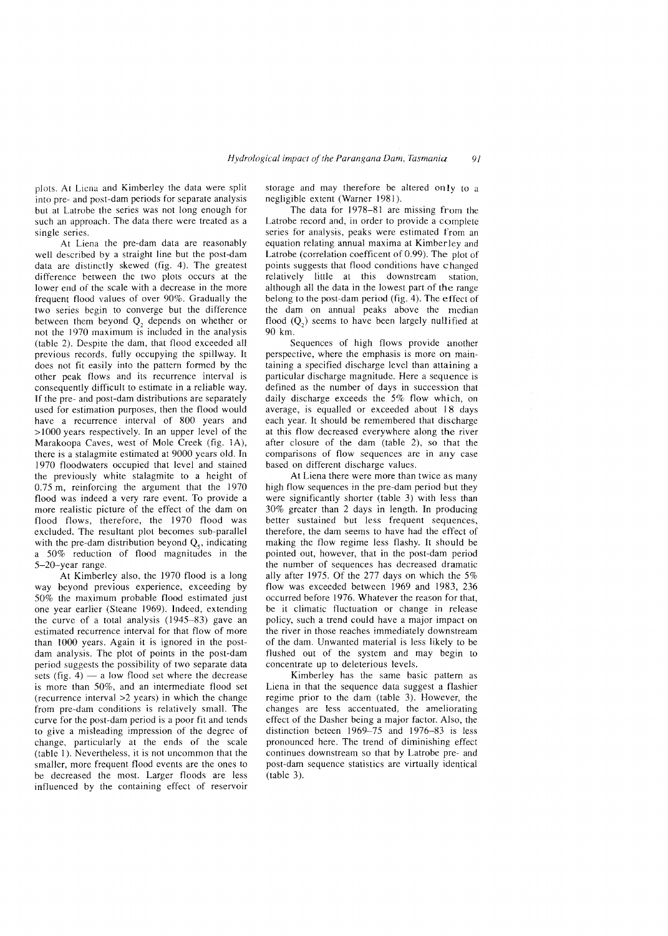pI01S. At Liena and Kimberley the data were split into pre- and post-dam periods for separate analysis but at Latrobe the series was not long enough for such an approach. The data there were treated as a single series.

At Liena the pre-dam data are reasonably well described by a straight line but the post-dam data are distinctly skewed (fig. 4). The greatest difference hetween the two plots occurs at the lower end of the scale with a decrease in the more frequent flood values of over 90%. Gradually the two series begin to converge but the difference between them beyond  $Q_2$  depends on whether or not the 1970 maximum is included in the analysis (table 2). Despite the dam, that flood exceeded all previous records, fully occupying the spillway. It does not fit easily into the pattern formed by the other peak flows and its recurrence interval is consequently difficult to estimate in a reliable way. If the pre- and post-dam distributions are separately used for estimation purposes, then the flood would have a recurrence interval of 800 years and > 1000 years respectively. In an upper level of the Marakoopa Caves, west of Mole Creek (fig. 1A), there is a stalagmite estimated at 9000 years old. In 1970 floodwaters occupied that level and stained the previously white stalagmite to a height of 0.75 m, reinforcing the argument that the 1970 flood was indeed a very rare event. To provide a more realistic picture of the effect of the dam on flood flows, therefore, the 1970 flood was excluded. The resultant plot becomes sub-parallel with the pre-dam distribution beyond  $Q<sub>s</sub>$ , indicating a 50% reduction of flood magnitudes in the 5-20-year range.

At Kimberley also, the 1970 flood is a long way beyond previous experience, exceeding by 50% the maximum probable flood estimated just one year earlier (Steane 1969). Indeed, extending the curve of a total analysis (1945-83) gave an estimated recurrence interval for that flow of more than 1000 years. Again it is ignored in the postdam analysis. The plot of points in the post-dam period suggests the possibility of two separate data sets (fig.  $4$ ) -- a low flood set where the decrease is more than 50%, and an intermediate flood set (recurrence interval >2 years) in which the change from pre-dam conditions is relatively small. The curve for the post-dam period is a poor fit and tends to give a misleading impression of the degree of change, particularly at the ends of the scale (table 1). Nevertheless, it is not uncommon that the smaller, more frequent flood events are the ones to be decreased the most. Larger floods are less influenced by the containing effect of reservoir

storage and may therefore be altered only to a negligible extent (Warner 1981).

The data for  $1978-81$  are missing from the Latrobe record and, in order to provide a complete series for analysis, peaks were estimated from an equation relating annual maxima at Kimberley and Latrobe (correlation coefficent of 0.99). The plot of points suggests that flood conditions have changed relatively little at this downstream station, although all the data in the lowest part of the range belong to the post-dam period (fig. 4). The effect of the dam on annual peaks above the median flood  $(Q_2)$  seems to have been largely nullified at 90 km.

Sequences of high flows provide another perspective, where the emphasis is more on maintaining a specified discharge level than attaining a particular discharge magnitude. Here a sequence is defined as the number of days in succession that daily discharge exceeds the 5% flow which, on average, is equalled or exceeded about 18 days each year. It should be remembered that discharge at this flow decreased everywhere along the river after closure of the dam (table 2), so that the comparisons of flow sequences are in any case based. on different discharge values.

At Liena there were more than twice as many high flow sequences in the pre-dam period but they were significantly shorter (table 3) with less than 30% greater than 2 days in length. In producing better sustained but less frequent sequences, therefore, the dam seems to have had the effect of making the flow regime less flashy. It should be pointed out, however, that in the post-dam period the number of sequences has decreased dramatic ally after 1975. Of the 277 days on which the 5% flow was exceeded between 1969 and 1983, 236 occurred before 1976. Whatever the reason for that, be it climatic fluctuation or change in release policy, such a trend could have a major impact on the river in those reaches immediately downstream of the dam. Unwanted material is less likely to be flushed out of the system and may begin to concentrate up to deleterious levels.

Kimberley has the same basic pattern as Liena in that the sequence data suggest a flashier regime prior to the dam (table 3). However, the changes are less accentuated, the ameliorating effect of the Dasher being a major factor. Also, the distinction beteen  $1969-75$  and  $1976-83$  is less pronounced here. The trend of diminishing effect continues downstream so that by Latrobe pre- and post-dam sequence statistics are virtually identical (table 3).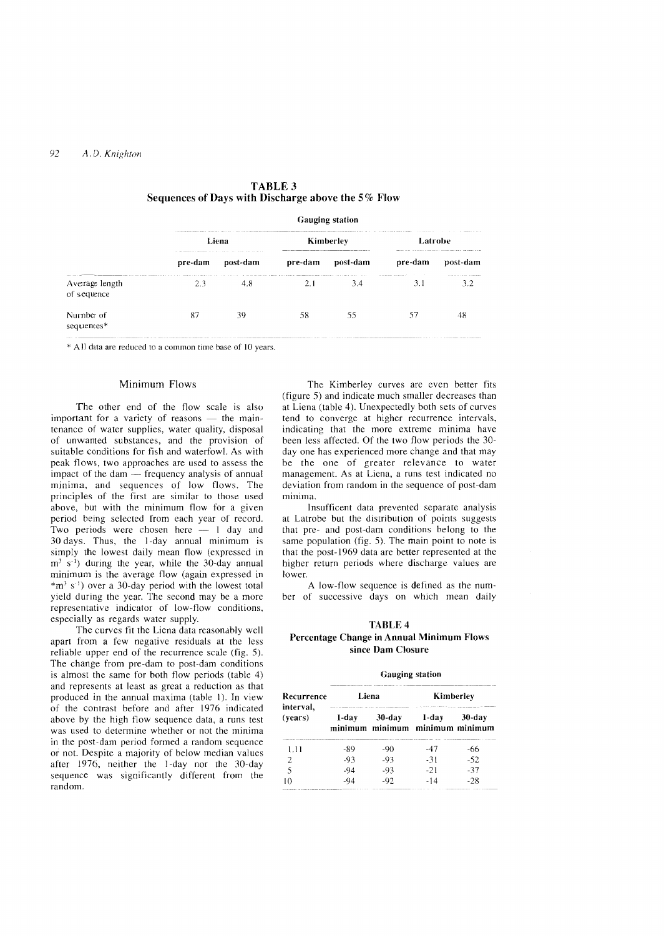|                               | <b>Gauging station</b>                                                                                                      |                                                                                       |           |          |                                                    |                                                                                          |
|-------------------------------|-----------------------------------------------------------------------------------------------------------------------------|---------------------------------------------------------------------------------------|-----------|----------|----------------------------------------------------|------------------------------------------------------------------------------------------|
|                               | The continuation of the company of the continue of the continue of the continue of the continued and the continued<br>Liena |                                                                                       | Kimberley |          | And with the windst constant to commer-<br>Latrobe |                                                                                          |
|                               | pre-dam                                                                                                                     | as the means are compared to the state of the control speed with the most<br>post-dam | pre-dam   | post-dam | pre-dam                                            | MAINTENT COLLECTION CONTINUES TO AN ALLEGED AND COMPANY AND RELEASED FOR ANY<br>post-dam |
| Average length<br>of sequence | accounts a series areas for the control of the control of the<br>23                                                         | 4.8                                                                                   |           | 3.4      | 3.1                                                | THE R. P. LEWIS CO., LANSING, MICH.                                                      |
| Number of<br>sequences*       |                                                                                                                             | 39                                                                                    | 58        | 55       |                                                    |                                                                                          |

| <b>TABLE 3</b>                                     |  |
|----------------------------------------------------|--|
| Sequences of Days with Discharge above the 5% Flow |  |

\* All data are reduced to a common time base of lO years.

### Minimum Flows

The other end of the flow scale is also important for a variety of reasons  $-$  the maintenance of water supplies, water quality, disposal of unwanted substances, and the provision of suitable conditions for fish and waterfowl. As with peak flows, two approaches are used to assess the impact of the dam $-$  frequency analysis of annual minima, and sequences of low flows. The principles of the first are similar to those used above, but with the minimum flow for a given period being selected from each year of record. Two periods were chosen here - 1 day and 30 days. Thus, the i-day annual minimum is simply the lowest daily mean flow (expressed in  $m<sup>3</sup>$  s<sup>-1</sup>) during the year, while the 30-day annual minimum is the average flow (again expressed in  $*$ m<sup>3</sup> s<sup>-1</sup>) over a 30-day period with the lowest total yield during the year. The second may be a more representative indicator of low-flow conditions, especially as regards water supply.

The curves fit the Liena data reasonably well apart from a few negative residuals at the less reliable upper end of the recurrence scale (fig. 5). The change from pre-dam to post-dam conditions is almost the same for both flow periods (table 4) and represents at least as great a reduction as that produced in the annual maxima (table 1). In view of the contrast before and after 1976 indicated above by the high flow sequence data, a runs test was used to determine whether or not the minima in the post-dam period formed a random sequence or not. Despite a majority of below median values after 1976, neither the I-day nor the 30-day sequence was significantly different from the random.

The Kimberley curves are even better fits (figure 5) and indicate much smaller decreases than at Liena (table 4). Unexpectedly both sets of curves tend to converge at higher recurrence intervals, indicating that the more extreme minima have been less affected. Of the two flow periods the 30day one has experienced more change and that may be the one of greater relevance to water management. As at Liena, a runs test indicated no deviation from random in the sequence of post-dam minima.

insufficent data prevented separate analysis at Latrobe but the distribution of points suggests that pre- and post -dam conditions belong to the same population (fig. 5). The main point to note is that the post-1969 data are better represented at the higher return periods where discharge values are lower.

A low-flow sequence is defined as the number of successive days on which mean daily

# TABLE 4

### Percentage Change in Annual Minimum Flows since Dam Closure

#### Gauging station

| Recurrence<br>interval.<br>(years) | Liena |                                              | Kimberley |        |
|------------------------------------|-------|----------------------------------------------|-----------|--------|
|                                    | 1-dav | $30$ -day<br>minimum minimum minimum minimum | 1-day     | 30-day |
| -1.11                              | -89   | -90                                          | -47       | -66    |
|                                    | -93   | -93                                          | -31       | $-52$  |
|                                    | -94   | -93                                          | -21       | $-37$  |
|                                    | -94   | -92                                          | -14       | $-28$  |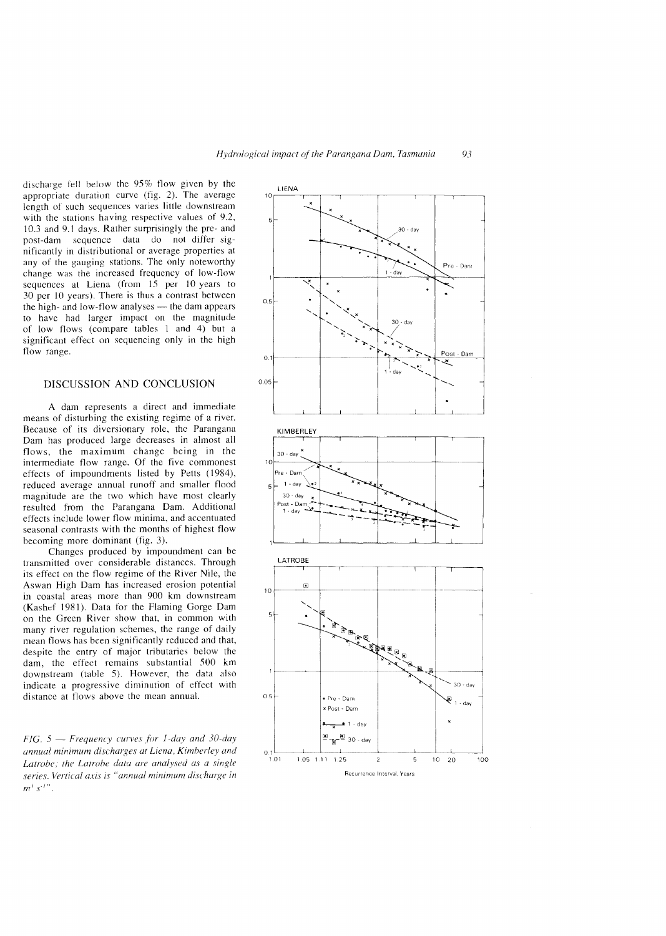discharge fell below the  $95%$  flow given by the appropriate duration curve (fig.  $2$ ). The average length of such sequences varies little downstream with the stations having respective values of 9.2, 10.3 and 9.1 days. Rather surprisingly the pre- and post-dam sequence data do not differ significantly in distributional or average properties at any of the gauging stations. The only noteworthy change was the increased frequency of low-flow sequences at Liena (from 15 per 10 years to 30 per 10 years). There is thus a contrast between the high- and low-flow analyses  $-$  the dam appears to have had impact on the magnitude of low flows (compare tables 1 and 4) but a significant effect on sequencing only in the high flow range.

### DISCUSSION AND CONCLUSION

A dam represents a direct and immediate means of disturbing the existing regime of a river. Because of its diversionary role, the Parangana Dam has produced large decreases in almost all flows, the maximum change being in the intermediate flow range. Of the five commonest effects of impoundments listed by Petts (1984), reduced average annual runoff and smaller flood magnitude are the two which have most clearly resulted from the Parangana Dam. Additional effects include lower flow minima, and accentuated seasonal contrasts with the months of highest flow becoming more dominant (fig. 3).

Changes produced by impoundment can be transmitted over considerable distances. Through its effect on the flow regimc of the River Nile, the Aswan High Dam has increased erosion potcntial in coastal areas more than 900 km downstream (Kashef 1981). Data for the Flaming Gorge Dam on the Green River show that, in common with many river regulation schemes, the range of mean flows has been significantly reduced and that, despite the entry of major tributaries below the dam, the effect remains substantial 500 km downstream (table 5). However, the data also indicate a progressive diminution of effect with distance at flows above the mean annual.

*FIG.* 5 - *Frequency curves for 1-day and 30-day annual minimum discharges at Liena, Latrohe; the Latrohe data are analysed as a series, Vertical axis is "annual minimum discharge in*   $m^3 s^{11}$ .

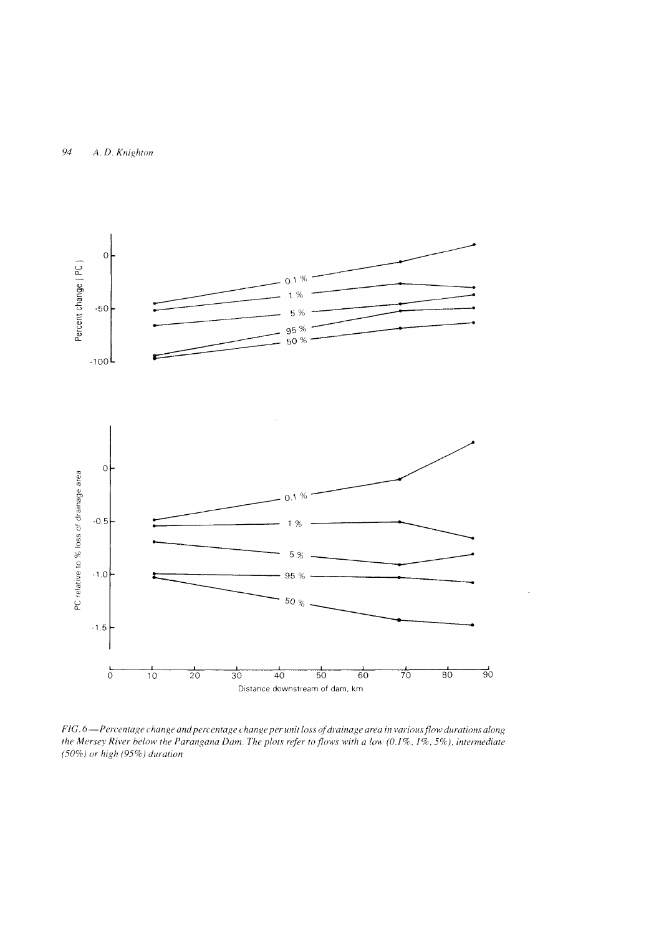

*FIG. 6* - Percentage change and percentage change per unit loss of drainage area in various flow durations along *the Mersey River below the Parangana Dam. The plots refer to flows with a low (0.1%, 1%, 5%), intermediate (50%) or high* (95%) *duration*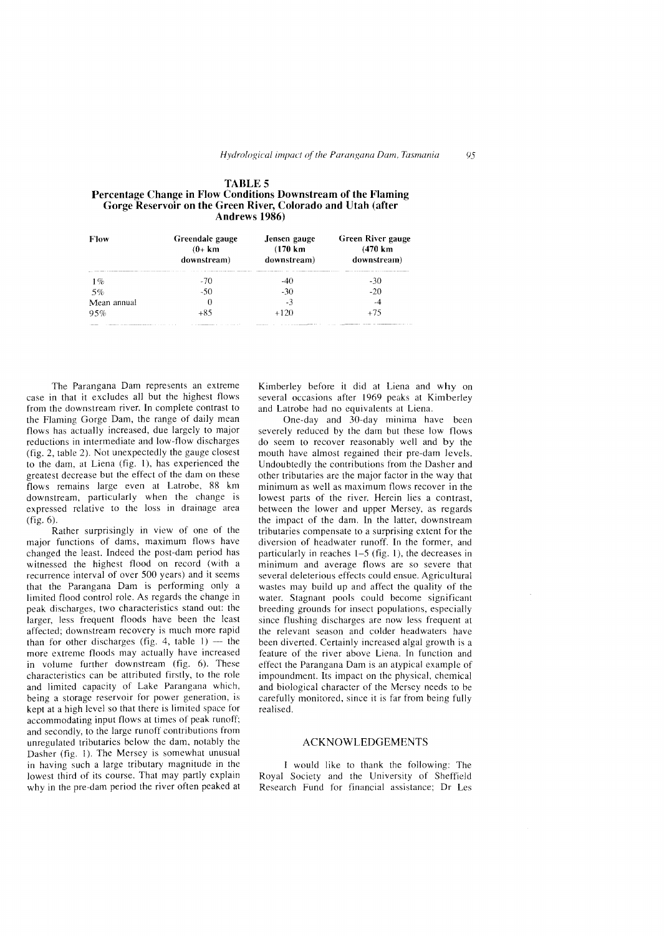| <b>Flow</b> | Greendale gauge<br>$(0+km)$<br>downstream) | Jensen gauge<br>$(170 \text{ km})$<br>downstream) | Green River gauge<br>$(470 \text{ km})$<br>downstream) |
|-------------|--------------------------------------------|---------------------------------------------------|--------------------------------------------------------|
| 1%          | -70                                        | $-4()$                                            | -30                                                    |
| 5%          | $-50$                                      | $-30$                                             | $-20$                                                  |
| Mean annual | 0                                          | - 3                                               | -4                                                     |
| 95%         | $+85$                                      | $+120$                                            | $+75$                                                  |

| TABLE 5                                                        |
|----------------------------------------------------------------|
| Percentage Change in Flow Conditions Downstream of the Flaming |
| Gorge Reservoir on the Green River, Colorado and Utah (after   |
| Andrews 1986)                                                  |

The Parangana Dam represents an extreme case in that it excludes all but the highest flows from the downstream river, In complete contrast to the Flaming Gorge Dam, the range of daily mean flows has actually increased, due largely to major reductions in intermediate and low-flow discharges (fig. 2, table 2). Not unexpectedly the gauge closest to the dam, at Liena (fig. 1), has experienced the greatest decrease but the effect of the dam on these flows remains large even at Latrobe, 88 km downstream, particularly when the change is expressed relative to the loss in drainage area (fig. 6).

Rather surprisingly in view of one of the major functions of dams, maximum flows have changed the least. Indeed the post-dam period has witnessed the highest flood on record (with a recurrence interval of over 500 years) and it seems that the Parangana Dam is performing only a limited flood control role. As regards the change in peak discharges, two characteristics stand out: the larger, less frequent floods have been the least affected; downstream recovery is much more rapid than for other discharges (fig. 4, table  $1$ ) -- the more extreme floods may actually have increased in volume further downstream (fig. 6). These characteristics can be attributed firstly, to the role and limited capacity of Lake Parangana which, being a storage reservoir for power generation, is kept at a high level so that there is limited space for accommodating input flows at times of peak runoff; and secondly, to the large runoff contributions from unregulated tributaries below the dam, notably the Dasher (fig. 1). The Mersey is somewhat unusual in having such a large tributary magnitude in the lowest third of its course. That may partly explain why in the pre-dam period the river often peaked at

Kimberley before it did at Liena and why on several occasions after 1969 peaks at Kimberley and Latrobe had no equivalents at Liena.

One-day and 30-day minima have been severely reduced by the dam but these low flows do seem to recover reasonably well and by the mouth have almost regained their pre-dam levels. Undoubtedly the contributions from the Dasher and other tributaries are the major factor in the way that minimum as well as maximum flows recover in the lowest parts of the river. Herein lies a contrast, between the lower and upper Mersey, as regards the impact of the dam. In the latter, downstream tributaries compensate to a surprising extent for the diversion of headwater runoff. In the former, and particularly in reaches 1-5 (fig. 1), the decreases in minimum and average flows are so severe that several deleterious effects could ensue. Agricultural wastes may build up and affect the quality of the water. Stagnant pools could become significant breeding grounds for insect populations, especially since flushing discharges are now less frequent at the relevant season and colder headwaters have been diverted. Certainly increased algal growth is a feature of the river above Liena. In function and effect the Parangana Dam is an atypical example of impoundment. Its impact on the physical, chemical and biological character of the Mersey needs to be carefully monitored, since it is far from being realised.

#### ACKNOWLEDGEMENTS

would like to thank the foilowing: The Royal Society and the University of Sheffield Research Fund for financial assistance; Dr Les